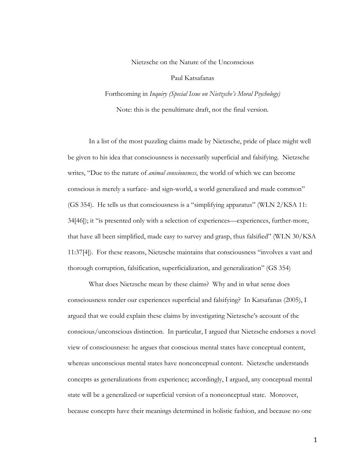# Nietzsche on the Nature of the Unconscious

Paul Katsafanas

Forthcoming in *Inquiry (Special Issue on Nietzsche's Moral Psychology)* Note: this is the penultimate draft, not the final version.

In a list of the most puzzling claims made by Nietzsche, pride of place might well be given to his idea that consciousness is necessarily superficial and falsifying. Nietzsche writes, "Due to the nature of *animal consciousness*, the world of which we can become conscious is merely a surface- and sign-world, a world generalized and made common" (GS 354). He tells us that consciousness is a "simplifying apparatus" (WLN 2/KSA 11: 34[46]); it "is presented only with a selection of experiences—experiences, further-more, that have all been simplified, made easy to survey and grasp, thus falsified" (WLN 30/KSA 11:37[4]). For these reasons, Nietzsche maintains that consciousness "involves a vast and thorough corruption, falsification, superficialization, and generalization" (GS 354)

What does Nietzsche mean by these claims? Why and in what sense does consciousness render our experiences superficial and falsifying? In Katsafanas (2005), I argued that we could explain these claims by investigating Nietzsche's account of the conscious/unconscious distinction. In particular, I argued that Nietzsche endorses a novel view of consciousness: he argues that conscious mental states have conceptual content, whereas unconscious mental states have nonconceptual content. Nietzsche understands concepts as generalizations from experience; accordingly, I argued, any conceptual mental state will be a generalized or superficial version of a nonconceptual state. Moreover, because concepts have their meanings determined in holistic fashion, and because no one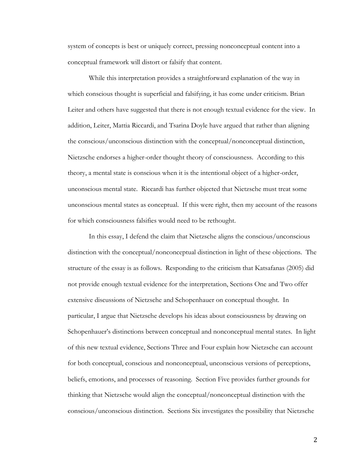system of concepts is best or uniquely correct, pressing nonconceptual content into a conceptual framework will distort or falsify that content.

While this interpretation provides a straightforward explanation of the way in which conscious thought is superficial and falsifying, it has come under criticism. Brian Leiter and others have suggested that there is not enough textual evidence for the view. In addition, Leiter, Mattia Riccardi, and Tsarina Doyle have argued that rather than aligning the conscious/unconscious distinction with the conceptual/nonconceptual distinction, Nietzsche endorses a higher-order thought theory of consciousness. According to this theory, a mental state is conscious when it is the intentional object of a higher-order, unconscious mental state. Riccardi has further objected that Nietzsche must treat some unconscious mental states as conceptual. If this were right, then my account of the reasons for which consciousness falsifies would need to be rethought.

In this essay, I defend the claim that Nietzsche aligns the conscious/unconscious distinction with the conceptual/nonconceptual distinction in light of these objections. The structure of the essay is as follows. Responding to the criticism that Katsafanas (2005) did not provide enough textual evidence for the interpretation, Sections One and Two offer extensive discussions of Nietzsche and Schopenhauer on conceptual thought. In particular, I argue that Nietzsche develops his ideas about consciousness by drawing on Schopenhauer's distinctions between conceptual and nonconceptual mental states. In light of this new textual evidence, Sections Three and Four explain how Nietzsche can account for both conceptual, conscious and nonconceptual, unconscious versions of perceptions, beliefs, emotions, and processes of reasoning. Section Five provides further grounds for thinking that Nietzsche would align the conceptual/nonconceptual distinction with the conscious/unconscious distinction. Sections Six investigates the possibility that Nietzsche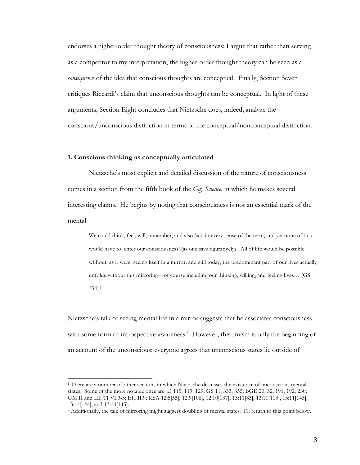endorses a higher-order thought theory of consciousness; I argue that rather than serving as a competitor to my interpretation, the higher-order thought theory can be seen as a *consequence* of the idea that conscious thoughts are conceptual. Finally, Section Seven critiques Riccardi's claim that unconscious thoughts can be conceptual. In light of these arguments, Section Eight concludes that Nietzsche does, indeed, analyze the conscious/unconscious distinction in terms of the conceptual/nonconceptual distinction.

# **1. Conscious thinking as conceptually articulated**

 

Nietzsche's most explicit and detailed discussion of the nature of consciousness comes in a section from the fifth book of the *Gay Science*, in which he makes several interesting claims. He begins by noting that consciousness is not an essential mark of the mental:

We could think, feel, will, remember, and also 'act' in every sense of the term, and yet none of this would have to 'enter our consciousness' (as one says figuratively). All of life would be possible without, as it were, seeing itself in a mirror; and still today, the predominant part of our lives actually unfolds without this mirroring—of course including our thinking, willing, and feeling lives… (GS 354) <sup>1</sup>

Nietzsche's talk of seeing mental life in a mirror suggests that he associates consciousness with some form of introspective awareness.<sup>2</sup> However, this truism is only the beginning of an account of the unconscious: everyone agrees that unconscious states lie outside of

<sup>1</sup> There are a number of other sections in which Nietzsche discusses the existence of unconscious mental states. Some of the more notable ones are: D 115, 119, 129; GS 11, 333, 355; BGE 20, 32, 191, 192, 230; GM II and III; TI VI.3-5; EH II.9; KSA 12:5[55], 12:9[106], 12:10[137], 13:11[83], 13:11[113], 13:11[145], 13:14[144], and 13:14[145]. 2 Additionally, the talk of mirroring might suggest doubling of mental states. I'll return to this point below.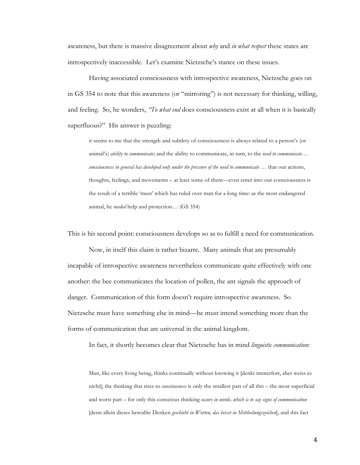awareness, but there is massive disagreement about *why* and *in what respect* these states are introspectively inaccessible. Let's examine Nietzsche's stance on these issues.

Having associated consciousness with introspective awareness, Nietzsche goes on in GS 354 to note that this awareness (or "mirroring") is not necessary for thinking, willing, and feeling. So, he wonders, *"To what end* does consciousness exist at all when it is basically superfluous?" His answer is puzzling:

it seems to me that the strength and subtlety of consciousness is always related to a person's (or animal's) *ability to communicate;* and the ability to communicate, in turn, to the *need to communicate*… *consciousness in general has developed only under the pressure of the need to communicate* … that our actions, thoughts, feelings, and movements – at least some of them—even enter into our consciousness is the result of a terrible 'must' which has ruled over man for a long time: as the most endangered animal, he *needed* help and protection… (GS 354)

This is his second point: consciousness develops so as to fulfill a need for communication.

Now, in itself this claim is rather bizarre. Many animals that are presumably incapable of introspective awareness nevertheless communicate quite effectively with one another: the bee communicates the location of pollen, the ant signals the approach of danger. Communication of this form doesn't require introspective awareness. So Nietzsche must have something else in mind—he must intend something more than the forms of communication that are universal in the animal kingdom.

In fact, it shortly becomes clear that Nietzsche has in mind *linguistic communication:* 

Man, like every living being, thinks continually without knowing it [denkt immerfort, aber weiss es nicht]; the thinking that rises to *consciousness* is only the smallest part of all this – the most superficial and worst part – for only this conscious thinking *occurs in words, which is to say signs of communication* [denn allein dieses bewußte Denken *geschieht in Worten, das heisst in Mittheilungszeichen*], and this fact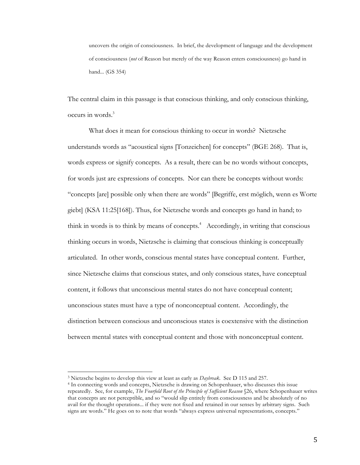uncovers the origin of consciousness. In brief, the development of language and the development of consciousness (*not* of Reason but merely of the way Reason enters consciousness) go hand in hand... (GS 354)

The central claim in this passage is that conscious thinking, and only conscious thinking, occurs in words.<sup>3</sup>

What does it mean for conscious thinking to occur in words? Nietzsche understands words as "acoustical signs [Tonzeichen] for concepts" (BGE 268). That is, words express or signify concepts. As a result, there can be no words without concepts, for words just are expressions of concepts. Nor can there be concepts without words: "concepts [are] possible only when there are words" [Begriffe, erst möglich, wenn es Worte giebt] (KSA 11:25[168]). Thus, for Nietzsche words and concepts go hand in hand; to think in words is to think by means of concepts.4 Accordingly, in writing that conscious thinking occurs in words, Nietzsche is claiming that conscious thinking is conceptually articulated. In other words, conscious mental states have conceptual content. Further, since Nietzsche claims that conscious states, and only conscious states, have conceptual content, it follows that unconscious mental states do not have conceptual content; unconscious states must have a type of nonconceptual content.Accordingly, the distinction between conscious and unconscious states is coextensive with the distinction between mental states with conceptual content and those with nonconceptual content.

<sup>&</sup>lt;sup>3</sup> Nietzsche begins to develop this view at least as early as *Daybreak*. See D 115 and 257.<br><sup>4</sup> In connecting words and concepts, Nietzsche is drawing on Schopenhauer, who discusses this issue

repeatedly. See, for example, *The Fourfold Root of the Principle of Sufficient Reason* §26, where Schopenhauer writes that concepts are not perceptible, and so "would slip entirely from consciousness and be absolutely of no avail for the thought operations... if they were not fixed and retained in our senses by arbitrary signs. Such signs are words." He goes on to note that words "always express universal representations, concepts."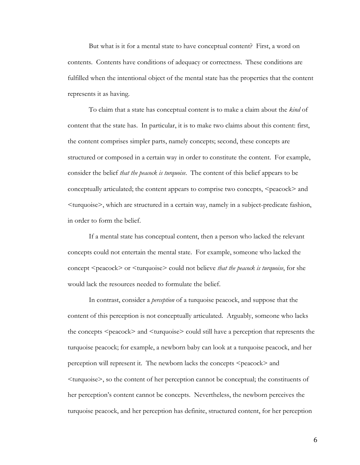But what is it for a mental state to have conceptual content? First, a word on contents. Contents have conditions of adequacy or correctness. These conditions are fulfilled when the intentional object of the mental state has the properties that the content represents it as having.

To claim that a state has conceptual content is to make a claim about the *kind* of content that the state has. In particular, it is to make two claims about this content: first, the content comprises simpler parts, namely concepts; second, these concepts are structured or composed in a certain way in order to constitute the content. For example, consider the belief *that the peacock is turquoise*. The content of this belief appears to be conceptually articulated; the content appears to comprise two concepts,  $\leq$  peacock $\geq$  and <turquoise>, which are structured in a certain way, namely in a subject-predicate fashion, in order to form the belief.

If a mental state has conceptual content, then a person who lacked the relevant concepts could not entertain the mental state. For example, someone who lacked the concept <peacock> or <turquoise> could not believe *that the peacock is turquoise*, for she would lack the resources needed to formulate the belief.

In contrast, consider a *perception* of a turquoise peacock, and suppose that the content of this perception is not conceptually articulated. Arguably, someone who lacks the concepts  $\epsilon$  peacock $\epsilon$  and  $\epsilon$  turquoise $\epsilon$  could still have a perception that represents the turquoise peacock; for example, a newborn baby can look at a turquoise peacock, and her perception will represent it. The newborn lacks the concepts  $\leq$  peacock $\geq$  and <turquoise>, so the content of her perception cannot be conceptual; the constituents of her perception's content cannot be concepts. Nevertheless, the newborn perceives the turquoise peacock, and her perception has definite, structured content, for her perception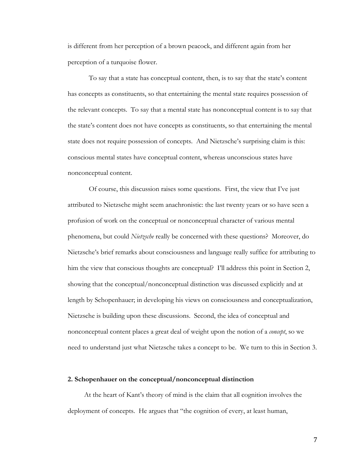is different from her perception of a brown peacock, and different again from her perception of a turquoise flower.

To say that a state has conceptual content, then, is to say that the state's content has concepts as constituents, so that entertaining the mental state requires possession of the relevant concepts. To say that a mental state has nonconceptual content is to say that the state's content does not have concepts as constituents, so that entertaining the mental state does not require possession of concepts. And Nietzsche's surprising claim is this: conscious mental states have conceptual content, whereas unconscious states have nonconceptual content.

Of course, this discussion raises some questions. First, the view that I've just attributed to Nietzsche might seem anachronistic: the last twenty years or so have seen a profusion of work on the conceptual or nonconceptual character of various mental phenomena, but could *Nietzsche* really be concerned with these questions? Moreover, do Nietzsche's brief remarks about consciousness and language really suffice for attributing to him the view that conscious thoughts are conceptual? I'll address this point in Section 2, showing that the conceptual/nonconceptual distinction was discussed explicitly and at length by Schopenhauer; in developing his views on consciousness and conceptualization, Nietzsche is building upon these discussions. Second, the idea of conceptual and nonconceptual content places a great deal of weight upon the notion of a *concept*, so we need to understand just what Nietzsche takes a concept to be. We turn to this in Section 3.

# **2. Schopenhauer on the conceptual/nonconceptual distinction**

At the heart of Kant's theory of mind is the claim that all cognition involves the deployment of concepts. He argues that "the cognition of every, at least human,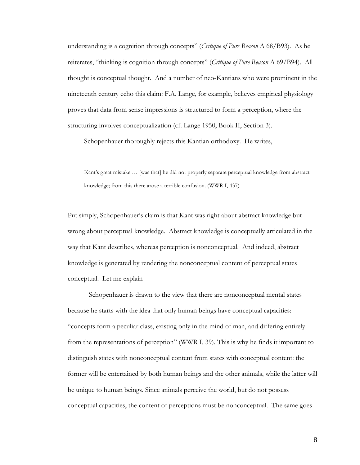understanding is a cognition through concepts" (*Critique of Pure Reason* A 68/B93). As he reiterates, "thinking is cognition through concepts" (*Critique of Pure Reason* A 69/B94). All thought is conceptual thought. And a number of neo-Kantians who were prominent in the nineteenth century echo this claim: F.A. Lange, for example, believes empirical physiology proves that data from sense impressions is structured to form a perception, where the structuring involves conceptualization (cf. Lange 1950, Book II, Section 3).

Schopenhauer thoroughly rejects this Kantian orthodoxy. He writes,

Kant's great mistake … [was that] he did not properly separate perceptual knowledge from abstract knowledge; from this there arose a terrible confusion. (WWR I, 437)

Put simply, Schopenhauer's claim is that Kant was right about abstract knowledge but wrong about perceptual knowledge. Abstract knowledge is conceptually articulated in the way that Kant describes, whereas perception is nonconceptual. And indeed, abstract knowledge is generated by rendering the nonconceptual content of perceptual states conceptual. Let me explain

Schopenhauer is drawn to the view that there are nonconceptual mental states because he starts with the idea that only human beings have conceptual capacities: "concepts form a peculiar class, existing only in the mind of man, and differing entirely from the representations of perception" (WWR I, 39). This is why he finds it important to distinguish states with nonconceptual content from states with conceptual content: the former will be entertained by both human beings and the other animals, while the latter will be unique to human beings. Since animals perceive the world, but do not possess conceptual capacities, the content of perceptions must be nonconceptual. The same goes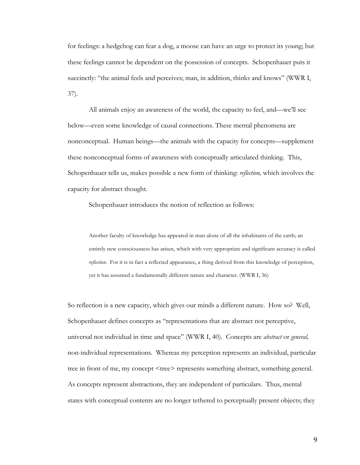for feelings: a hedgehog can fear a dog, a moose can have an urge to protect its young; but these feelings cannot be dependent on the possession of concepts. Schopenhauer puts it succinctly: "the animal feels and perceives; man, in addition, thinks and knows" (WWR I, 37).

All animals enjoy an awareness of the world, the capacity to feel, and—we'll see below—even some knowledge of causal connections. These mental phenomena are nonconceptual. Human beings—the animals with the capacity for concepts—supplement these nonconceptual forms of awareness with conceptually articulated thinking. This, Schopenhauer tells us, makes possible a new form of thinking: *reflection,* which involves the capacity for abstract thought.

Schopenhauer introduces the notion of reflection as follows:

Another faculty of knowledge has appeared in man alone of all the inhabitants of the earth; an entirely new consciousness has arisen, which with very appropriate and significant accuracy is called *reflection*.For it is in fact a reflected appearance, a thing derived from this knowledge of perception, yet it has assumed a fundamentally different nature and character. (WWR I, 36)

So reflection is a new capacity, which gives our minds a different nature. How so? Well, Schopenhauer defines concepts as "representations that are abstract not perceptive, universal not individual in time and space" (WWR I, 40). Concepts are *abstract* or *general,*  non-individual representations. Whereas my perception represents an individual, particular tree in front of me, my concept <tree> represents something abstract, something general. As concepts represent abstractions, they are independent of particulars. Thus, mental states with conceptual contents are no longer tethered to perceptually present objects; they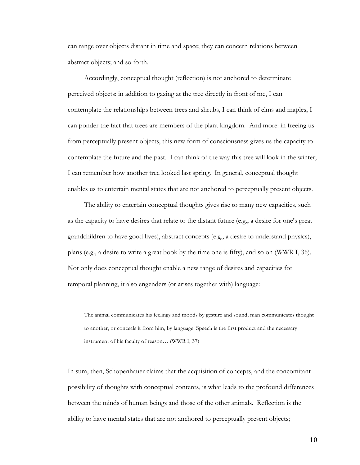can range over objects distant in time and space; they can concern relations between abstract objects; and so forth.

Accordingly, conceptual thought (reflection) is not anchored to determinate perceived objects: in addition to gazing at the tree directly in front of me, I can contemplate the relationships between trees and shrubs, I can think of elms and maples, I can ponder the fact that trees are members of the plant kingdom. And more: in freeing us from perceptually present objects, this new form of consciousness gives us the capacity to contemplate the future and the past. I can think of the way this tree will look in the winter; I can remember how another tree looked last spring. In general, conceptual thought enables us to entertain mental states that are not anchored to perceptually present objects.

The ability to entertain conceptual thoughts gives rise to many new capacities, such as the capacity to have desires that relate to the distant future (e.g., a desire for one's great grandchildren to have good lives), abstract concepts (e.g., a desire to understand physics), plans (e.g., a desire to write a great book by the time one is fifty), and so on (WWR I, 36). Not only does conceptual thought enable a new range of desires and capacities for temporal planning, it also engenders (or arises together with) language:

The animal communicates his feelings and moods by gesture and sound; man communicates thought to another, or conceals it from him, by language. Speech is the first product and the necessary instrument of his faculty of reason… (WWR I, 37)

In sum, then, Schopenhauer claims that the acquisition of concepts, and the concomitant possibility of thoughts with conceptual contents, is what leads to the profound differences between the minds of human beings and those of the other animals. Reflection is the ability to have mental states that are not anchored to perceptually present objects;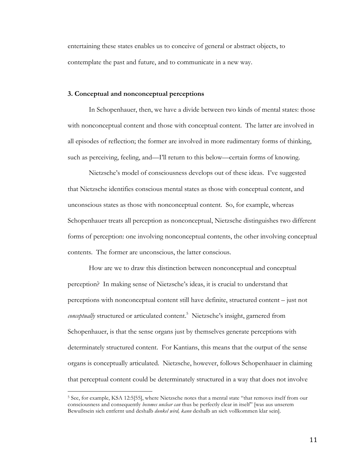entertaining these states enables us to conceive of general or abstract objects, to contemplate the past and future, and to communicate in a new way.

# **3. Conceptual and nonconceptual perceptions**

In Schopenhauer, then, we have a divide between two kinds of mental states: those with nonconceptual content and those with conceptual content. The latter are involved in all episodes of reflection; the former are involved in more rudimentary forms of thinking, such as perceiving, feeling, and—I'll return to this below—certain forms of knowing.

Nietzsche's model of consciousness develops out of these ideas. I've suggested that Nietzsche identifies conscious mental states as those with conceptual content, and unconscious states as those with nonconceptual content. So, for example, whereas Schopenhauer treats all perception as nonconceptual, Nietzsche distinguishes two different forms of perception: one involving nonconceptual contents, the other involving conceptual contents. The former are unconscious, the latter conscious.

How are we to draw this distinction between nonconceptual and conceptual perception? In making sense of Nietzsche's ideas, it is crucial to understand that perceptions with nonconceptual content still have definite, structured content – just not conceptually structured or articulated content.<sup>5</sup> Nietzsche's insight, garnered from Schopenhauer, is that the sense organs just by themselves generate perceptions with determinately structured content. For Kantians, this means that the output of the sense organs is conceptually articulated. Nietzsche, however, follows Schopenhauer in claiming that perceptual content could be determinately structured in a way that does not involve

<sup>5</sup> See, for example, KSA 12:5[55], where Nietzsche notes that a mental state "that removes itself from our consciousness and consequently *becomes unclear can* thus be perfectly clear in itself" [was aus unserem Bewußtsein sich entfernt und deshalb *dunkel wird, kann* deshalb an sich vollkommen klar sein].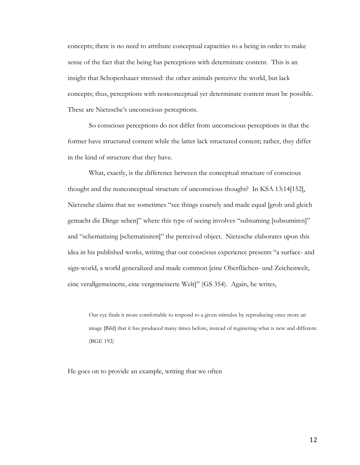concepts; there is no need to attribute conceptual capacities to a being in order to make sense of the fact that the being has perceptions with determinate content. This is an insight that Schopenhauer stressed: the other animals perceive the world, but lack concepts; thus, perceptions with nonconceptual yet determinate content must be possible. These are Nietzsche's unconscious perceptions.

So conscious perceptions do not differ from unconscious perceptions in that the former have structured content while the latter lack structured content; rather, they differ in the kind of structure that they have.

What, exactly, is the difference between the conceptual structure of conscious thought and the nonconceptual structure of unconscious thought? In KSA 13:14[152], Nietzsche claims that we sometimes "see things coarsely and made equal [grob und gleich gemacht die Dinge sehen]" where this type of seeing involves "subsuming [subsumiren]" and "schematizing [schematisiren]" the perceived object. Nietzsche elaborates upon this idea in his published works, writing that our conscious experience presents "a surface- and sign-world, a world generalized and made common [eine Oberflächen- und Zeichenwelt, eine verallgemeinerte, eine vergemeinerte Welt]" (GS 354). Again, he writes,

Our eye finds it more comfortable to respond to a given stimulus by reproducing once more an image [Bild] that it has produced many times before, instead of registering what is new and different. (BGE 192)

He goes on to provide an example, writing that we often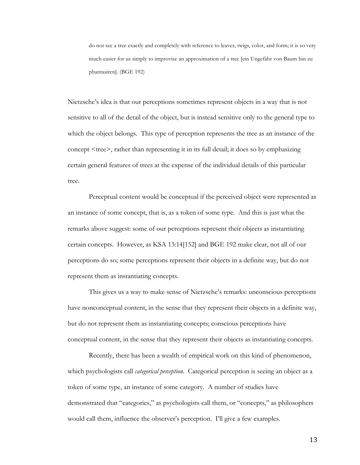do not see a tree exactly and completely with reference to leaves, twigs, color, and form; it is so very much easier for us simply to improvise an approximation of a tree [ein Ungefähr von Baum hin zu phantasiren]. (BGE 192)

Nietzsche's idea is that our perceptions sometimes represent objects in a way that is not sensitive to all of the detail of the object, but is instead sensitive only to the general type to which the object belongs. This type of perception represents the tree as an instance of the concept <tree>, rather than representing it in its full detail; it does so by emphasizing certain general features of trees at the expense of the individual details of this particular tree.

Perceptual content would be conceptual if the perceived object were represented as an instance of some concept, that is, as a token of some type. And this is just what the remarks above suggest: some of our perceptions represent their objects as instantiating certain concepts. However, as KSA 13:14[152] and BGE 192 make clear, not all of our perceptions do so; some perceptions represent their objects in a definite way, but do not represent them as instantiating concepts.

This gives us a way to make sense of Nietzsche's remarks: unconscious perceptions have nonconceptual content, in the sense that they represent their objects in a definite way, but do not represent them as instantiating concepts; conscious perceptions have conceptual content, in the sense that they represent their objects as instantiating concepts.

Recently, there has been a wealth of empirical work on this kind of phenomenon, which psychologists call *categorical perception.* Categorical perception is seeing an object as a token of some type, an instance of some category. A number of studies have demonstrated that "categories," as psychologists call them, or "concepts," as philosophers would call them, influence the observer's perception. I'll give a few examples.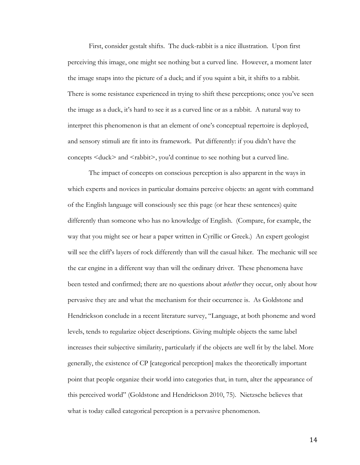First, consider gestalt shifts. The duck-rabbit is a nice illustration. Upon first perceiving this image, one might see nothing but a curved line. However, a moment later the image snaps into the picture of a duck; and if you squint a bit, it shifts to a rabbit. There is some resistance experienced in trying to shift these perceptions; once you've seen the image as a duck, it's hard to see it as a curved line or as a rabbit. A natural way to interpret this phenomenon is that an element of one's conceptual repertoire is deployed, and sensory stimuli are fit into its framework. Put differently: if you didn't have the concepts <duck> and <rabbit>, you'd continue to see nothing but a curved line.

The impact of concepts on conscious perception is also apparent in the ways in which experts and novices in particular domains perceive objects: an agent with command of the English language will consciously see this page (or hear these sentences) quite differently than someone who has no knowledge of English. (Compare, for example, the way that you might see or hear a paper written in Cyrillic or Greek.) An expert geologist will see the cliff's layers of rock differently than will the casual hiker. The mechanic will see the car engine in a different way than will the ordinary driver. These phenomena have been tested and confirmed; there are no questions about *whether* they occur, only about how pervasive they are and what the mechanism for their occurrence is. As Goldstone and Hendrickson conclude in a recent literature survey, "Language, at both phoneme and word levels, tends to regularize object descriptions. Giving multiple objects the same label increases their subjective similarity, particularly if the objects are well fit by the label. More generally, the existence of CP [categorical perception] makes the theoretically important point that people organize their world into categories that, in turn, alter the appearance of this perceived world" (Goldstone and Hendrickson 2010, 75). Nietzsche believes that what is today called categorical perception is a pervasive phenomenon.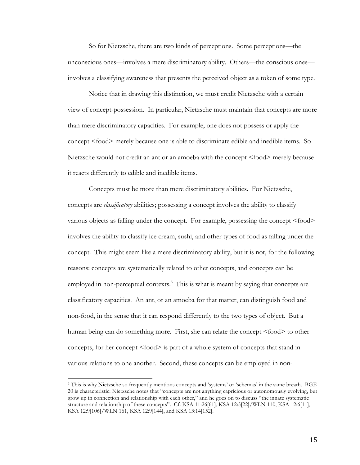So for Nietzsche, there are two kinds of perceptions. Some perceptions—the unconscious ones—involves a mere discriminatory ability. Others—the conscious ones involves a classifying awareness that presents the perceived object as a token of some type.

Notice that in drawing this distinction, we must credit Nietzsche with a certain view of concept-possession. In particular, Nietzsche must maintain that concepts are more than mere discriminatory capacities. For example, one does not possess or apply the concept <food> merely because one is able to discriminate edible and inedible items. So Nietzsche would not credit an ant or an amoeba with the concept <food> merely because it reacts differently to edible and inedible items.

Concepts must be more than mere discriminatory abilities. For Nietzsche, concepts are *classificatory* abilities; possessing a concept involves the ability to classify various objects as falling under the concept. For example, possessing the concept <food> involves the ability to classify ice cream, sushi, and other types of food as falling under the concept. This might seem like a mere discriminatory ability, but it is not, for the following reasons: concepts are systematically related to other concepts, and concepts can be employed in non-perceptual contexts.<sup>6</sup> This is what is meant by saying that concepts are classificatory capacities. An ant, or an amoeba for that matter, can distinguish food and non-food, in the sense that it can respond differently to the two types of object. But a human being can do something more. First, she can relate the concept <food> to other concepts, for her concept <food> is part of a whole system of concepts that stand in various relations to one another. Second, these concepts can be employed in non-

<sup>6</sup> This is why Nietzsche so frequently mentions concepts and 'systems' or 'schemas' in the same breath. BGE 20 is characteristic: Nietzsche notes that "concepts are not anything capricious or autonomously evolving, but grow up in connection and relationship with each other," and he goes on to discuss "the innate systematic structure and relationship of these concepts". Cf. KSA 11:26[61], KSA 12:5[22]/WLN 110, KSA 12:6[11], KSA 12:9[106]/WLN 161, KSA 12:9[144], and KSA 13:14[152].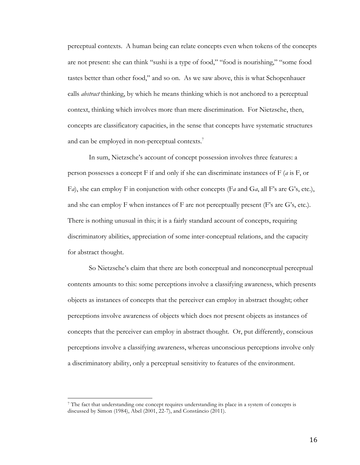perceptual contexts. A human being can relate concepts even when tokens of the concepts are not present: she can think "sushi is a type of food," "food is nourishing," "some food tastes better than other food," and so on. As we saw above, this is what Schopenhauer calls *abstract* thinking, by which he means thinking which is not anchored to a perceptual context, thinking which involves more than mere discrimination. For Nietzsche, then, concepts are classificatory capacities, in the sense that concepts have systematic structures and can be employed in non-perceptual contexts.<sup>7</sup>

In sum, Nietzsche's account of concept possession involves three features: a person possesses a concept F if and only if she can discriminate instances of F (*a* is F, or F*a*), she can employ F in conjunction with other concepts (F*a* and G*a*, all F's are G's, etc.), and she can employ F when instances of F are not perceptually present (F's are G's, etc.). There is nothing unusual in this; it is a fairly standard account of concepts, requiring discriminatory abilities, appreciation of some inter-conceptual relations, and the capacity for abstract thought.

So Nietzsche's claim that there are both conceptual and nonconceptual perceptual contents amounts to this: some perceptions involve a classifying awareness, which presents objects as instances of concepts that the perceiver can employ in abstract thought; other perceptions involve awareness of objects which does not present objects as instances of concepts that the perceiver can employ in abstract thought. Or, put differently, conscious perceptions involve a classifying awareness, whereas unconscious perceptions involve only a discriminatory ability, only a perceptual sensitivity to features of the environment.

<sup>7</sup> The fact that understanding one concept requires understanding its place in a system of concepts is discussed by Simon (1984), Abel (2001, 22-7), and Constâncio (2011).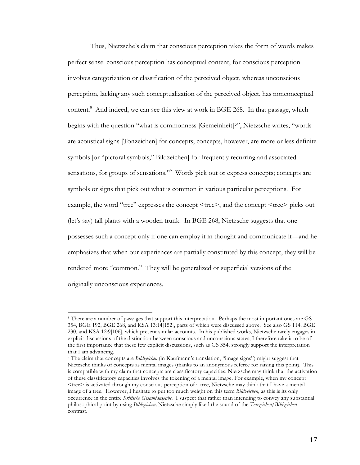Thus, Nietzsche's claim that conscious perception takes the form of words makes perfect sense: conscious perception has conceptual content, for conscious perception involves categorization or classification of the perceived object, whereas unconscious perception, lacking any such conceptualization of the perceived object, has nonconceptual content.<sup>8</sup> And indeed, we can see this view at work in BGE 268. In that passage, which begins with the question "what is commonness [Gemeinheit]?", Nietzsche writes, "words are acoustical signs [Tonzeichen] for concepts; concepts, however, are more or less definite symbols [or "pictoral symbols," Bildzeichen] for frequently recurring and associated sensations, for groups of sensations."<sup>9</sup> Words pick out or express concepts; concepts are symbols or signs that pick out what is common in various particular perceptions. For example, the word "tree" expresses the concept <tree>, and the concept <tree> picks out (let's say) tall plants with a wooden trunk. In BGE 268, Nietzsche suggests that one possesses such a concept only if one can employ it in thought and communicate it—and he emphasizes that when our experiences are partially constituted by this concept, they will be rendered more "common." They will be generalized or superficial versions of the originally unconscious experiences.

<sup>8</sup> There are a number of passages that support this interpretation. Perhaps the most important ones are GS 354, BGE 192, BGE 268, and KSA 13:14[152], parts of which were discussed above. See also GS 114, BGE 230, and KSA 12:9[106], which present similar accounts. In his published works, Nietzsche rarely engages in explicit discussions of the distinction between conscious and unconscious states; I therefore take it to be of the first importance that these few explicit discussions, such as GS 354, strongly support the interpretation that I am advancing.

<sup>9</sup> The claim that concepts are *Bildzeichen* (in Kaufmann's translation, "image signs") might suggest that Nietzsche thinks of concepts as mental images (thanks to an anonymous referee for raising this point). This is compatible with my claim that concepts are classificatory capacities: Nietzsche may think that the activation of these classificatory capacities involves the tokening of a mental image. For example, when my concept <tree> is activated through my conscious perception of a tree, Nietzsche may think that I have a mental image of a tree. However, I hesitate to put too much weight on this term *Bildzeichen,* as this is its only occurrence in the entire *Kritische Gesamtausgabe*. I suspect that rather than intending to convey any substantial philosophical point by using *Bildzeichen,* Nietzsche simply liked the sound of the *Tonzeichen/Bildzeichen*  contrast.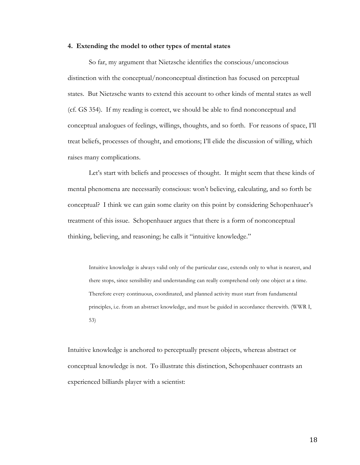#### **4. Extending the model to other types of mental states**

So far, my argument that Nietzsche identifies the conscious/unconscious distinction with the conceptual/nonconceptual distinction has focused on perceptual states. But Nietzsche wants to extend this account to other kinds of mental states as well (cf. GS 354). If my reading is correct, we should be able to find nonconceptual and conceptual analogues of feelings, willings, thoughts, and so forth. For reasons of space, I'll treat beliefs, processes of thought, and emotions; I'll elide the discussion of willing, which raises many complications.

Let's start with beliefs and processes of thought. It might seem that these kinds of mental phenomena are necessarily conscious: won't believing, calculating, and so forth be conceptual? I think we can gain some clarity on this point by considering Schopenhauer's treatment of this issue. Schopenhauer argues that there is a form of nonconceptual thinking, believing, and reasoning; he calls it "intuitive knowledge."

Intuitive knowledge is always valid only of the particular case, extends only to what is nearest, and there stops, since sensibility and understanding can really comprehend only one object at a time. Therefore every continuous, coordinated, and planned activity must start from fundamental principles, i.e. from an abstract knowledge, and must be guided in accordance therewith. (WWR I, 53)

Intuitive knowledge is anchored to perceptually present objects, whereas abstract or conceptual knowledge is not. To illustrate this distinction, Schopenhauer contrasts an experienced billiards player with a scientist: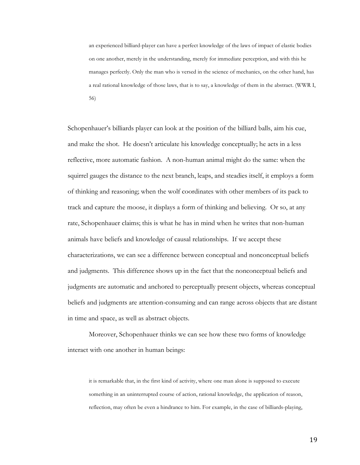an experienced billiard-player can have a perfect knowledge of the laws of impact of elastic bodies on one another, merely in the understanding, merely for immediate perception, and with this he manages perfectly. Only the man who is versed in the science of mechanics, on the other hand, has a real rational knowledge of those laws, that is to say, a knowledge of them in the abstract. (WWR I, 56)

Schopenhauer's billiards player can look at the position of the billiard balls, aim his cue, and make the shot. He doesn't articulate his knowledge conceptually; he acts in a less reflective, more automatic fashion. A non-human animal might do the same: when the squirrel gauges the distance to the next branch, leaps, and steadies itself, it employs a form of thinking and reasoning; when the wolf coordinates with other members of its pack to track and capture the moose, it displays a form of thinking and believing. Or so, at any rate, Schopenhauer claims; this is what he has in mind when he writes that non-human animals have beliefs and knowledge of causal relationships. If we accept these characterizations, we can see a difference between conceptual and nonconceptual beliefs and judgments. This difference shows up in the fact that the nonconceptual beliefs and judgments are automatic and anchored to perceptually present objects, whereas conceptual beliefs and judgments are attention-consuming and can range across objects that are distant in time and space, as well as abstract objects.

Moreover, Schopenhauer thinks we can see how these two forms of knowledge interact with one another in human beings:

it is remarkable that, in the first kind of activity, where one man alone is supposed to execute something in an uninterrupted course of action, rational knowledge, the application of reason, reflection, may often be even a hindrance to him. For example, in the case of billiards-playing,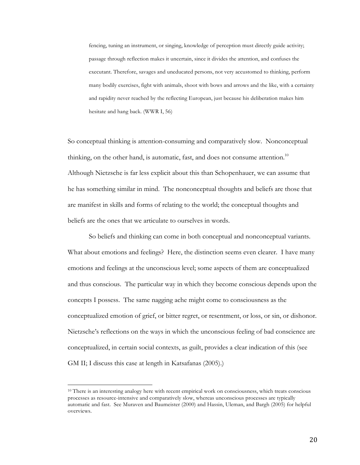fencing, tuning an instrument, or singing, knowledge of perception must directly guide activity; passage through reflection makes it uncertain, since it divides the attention, and confuses the executant. Therefore, savages and uneducated persons, not very accustomed to thinking, perform many bodily exercises, fight with animals, shoot with bows and arrows and the like, with a certainty and rapidity never reached by the reflecting European, just because his deliberation makes him hesitate and hang back. (WWR I, 56)

So conceptual thinking is attention-consuming and comparatively slow. Nonconceptual thinking, on the other hand, is automatic, fast, and does not consume attention.<sup>10</sup> Although Nietzsche is far less explicit about this than Schopenhauer, we can assume that he has something similar in mind. The nonconceptual thoughts and beliefs are those that are manifest in skills and forms of relating to the world; the conceptual thoughts and beliefs are the ones that we articulate to ourselves in words.

So beliefs and thinking can come in both conceptual and nonconceptual variants. What about emotions and feelings? Here, the distinction seems even clearer. I have many emotions and feelings at the unconscious level; some aspects of them are conceptualized and thus conscious. The particular way in which they become conscious depends upon the concepts I possess. The same nagging ache might come to consciousness as the conceptualized emotion of grief, or bitter regret, or resentment, or loss, or sin, or dishonor. Nietzsche's reflections on the ways in which the unconscious feeling of bad conscience are conceptualized, in certain social contexts, as guilt, provides a clear indication of this (see GM II; I discuss this case at length in Katsafanas (2005).)

<sup>&</sup>lt;sup>10</sup> There is an interesting analogy here with recent empirical work on consciousness, which treats conscious processes as resource-intensive and comparatively slow, whereas unconscious processes are typically automatic and fast. See Muraven and Baumeister (2000) and Hassin, Uleman, and Bargh (2005) for helpful overviews.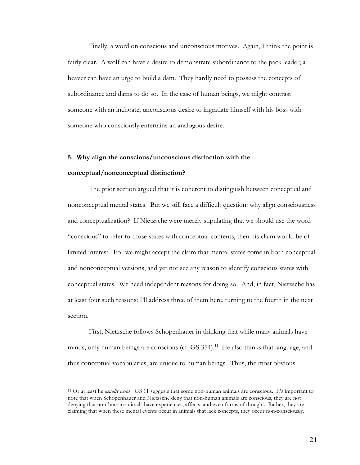Finally, a word on conscious and unconscious motives. Again, I think the point is fairly clear. A wolf can have a desire to demonstrate subordinance to the pack leader; a beaver can have an urge to build a dam. They hardly need to possess the concepts of subordinance and dams to do so. In the case of human beings, we might contrast someone with an inchoate, unconscious desire to ingratiate himself with his boss with someone who consciously entertains an analogous desire.

#### **5. Why align the conscious/unconscious distinction with the**

## **conceptual/nonconceptual distinction?**

 

The prior section argued that it is coherent to distinguish between conceptual and nonconceptual mental states. But we still face a difficult question: why align consciousness and conceptualization? If Nietzsche were merely stipulating that we should use the word "conscious" to refer to those states with conceptual contents, then his claim would be of limited interest. For we might accept the claim that mental states come in both conceptual and nonconceptual versions, and yet not see any reason to identify conscious states with conceptual states. We need independent reasons for doing so. And, in fact, Nietzsche has at least four such reasons: I'll address three of them here, turning to the fourth in the next section.

First, Nietzsche follows Schopenhauer in thinking that while many animals have minds, only human beings are conscious (cf. GS  $354$ ).<sup>11</sup> He also thinks that language, and thus conceptual vocabularies, are unique to human beings. Thus, the most obvious

<sup>11</sup> Or at least he *usually* does. GS 11 suggests that some non-human animals are conscious. It's important to note that when Schopenhauer and Nietzsche deny that non-human animals are conscious, they are not denying that non-human animals have experiences, affects, and even forms of thought. Rather, they are claiming that when these mental events occur in animals that lack concepts, they occur non-consciously.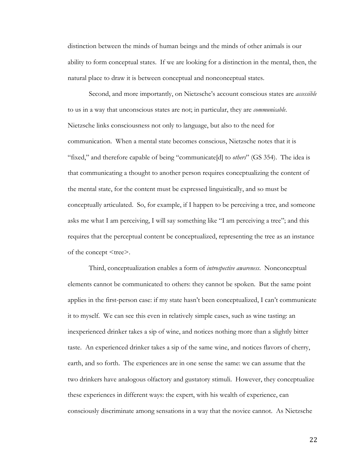distinction between the minds of human beings and the minds of other animals is our ability to form conceptual states. If we are looking for a distinction in the mental, then, the natural place to draw it is between conceptual and nonconceptual states.

Second, and more importantly, on Nietzsche's account conscious states are *accessible* to us in a way that unconscious states are not; in particular, they are *communicable*. Nietzsche links consciousness not only to language, but also to the need for communication. When a mental state becomes conscious, Nietzsche notes that it is "fixed," and therefore capable of being "communicate[d] to *others*" (GS 354). The idea is that communicating a thought to another person requires conceptualizing the content of the mental state, for the content must be expressed linguistically, and so must be conceptually articulated. So, for example, if I happen to be perceiving a tree, and someone asks me what I am perceiving, I will say something like "I am perceiving a tree"; and this requires that the perceptual content be conceptualized, representing the tree as an instance of the concept <tree>.

Third, conceptualization enables a form of *introspective awareness*. Nonconceptual elements cannot be communicated to others: they cannot be spoken. But the same point applies in the first-person case: if my state hasn't been conceptualized, I can't communicate it to myself. We can see this even in relatively simple cases, such as wine tasting: an inexperienced drinker takes a sip of wine, and notices nothing more than a slightly bitter taste. An experienced drinker takes a sip of the same wine, and notices flavors of cherry, earth, and so forth. The experiences are in one sense the same: we can assume that the two drinkers have analogous olfactory and gustatory stimuli. However, they conceptualize these experiences in different ways: the expert, with his wealth of experience, can consciously discriminate among sensations in a way that the novice cannot. As Nietzsche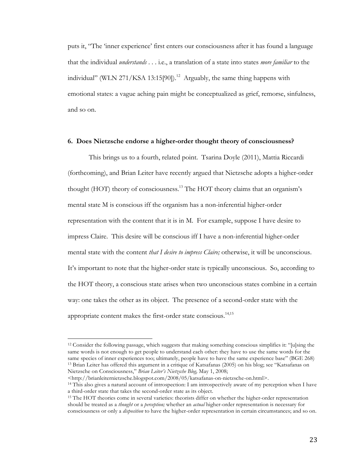puts it, "The 'inner experience' first enters our consciousness after it has found a language that the individual *understands* . . . i.e., a translation of a state into states *more familiar* to the individual" (WLN 271/KSA 13:15[90]).<sup>12</sup> Arguably, the same thing happens with emotional states: a vague aching pain might be conceptualized as grief, remorse, sinfulness, and so on.

#### **6. Does Nietzsche endorse a higher-order thought theory of consciousness?**

This brings us to a fourth, related point. Tsarina Doyle (2011), Mattia Riccardi (forthcoming), and Brian Leiter have recently argued that Nietzsche adopts a higher-order thought (HOT) theory of consciousness.13 The HOT theory claims that an organism's mental state M is conscious iff the organism has a non-inferential higher-order representation with the content that it is in M. For example, suppose I have desire to impress Claire. This desire will be conscious iff I have a non-inferential higher-order mental state with the content *that I desire to impress Claire;* otherwise, it will be unconscious. It's important to note that the higher-order state is typically unconscious. So, according to the HOT theory, a conscious state arises when two unconscious states combine in a certain way: one takes the other as its object. The presence of a second-order state with the appropriate content makes the first-order state conscious.<sup>14,15</sup>

<sup>12</sup> Consider the following passage, which suggests that making something conscious simplifies it: "[u]sing the same words is not enough to get people to understand each other: they have to use the same words for the same species of inner experiences too; ultimately, people have to have the same experience base" (BGE 268) <sup>13</sup> Brian Leiter has offered this argument in a critique of Katsafanas (2005) on his blog; see "Katsafanas on Nietzsche on Consciousness," *Brian Leiter's Nietzsche Blog,* May 1, 2008;

<sup>&</sup>lt;http://brianleiternietzsche.blogspot.com/2008/05/katsafanas-on-nietzsche-on.html>.

<sup>&</sup>lt;sup>14</sup> This also gives a natural account of introspection: I am introspectively aware of my perception when I have a third-order state that takes the second-order state as its object.

<sup>&</sup>lt;sup>15</sup> The HOT theories come in several varieties: theorists differ on whether the higher-order representation should be treated as a *thought* or a *perception;* whether an *actual* higher-order representation is necessary for consciousness or only a *disposition* to have the higher-order representation in certain circumstances; and so on.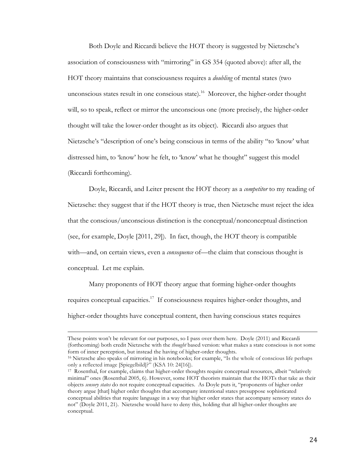Both Doyle and Riccardi believe the HOT theory is suggested by Nietzsche's association of consciousness with "mirroring" in GS 354 (quoted above): after all, the HOT theory maintains that consciousness requires a *doubling* of mental states (two unconscious states result in one conscious state).<sup>16</sup> Moreover, the higher-order thought will, so to speak, reflect or mirror the unconscious one (more precisely, the higher-order thought will take the lower-order thought as its object). Riccardi also argues that Nietzsche's "description of one's being conscious in terms of the ability "to 'know' what distressed him, to 'know' how he felt, to 'know' what he thought" suggest this model (Riccardi forthcoming).

Doyle, Riccardi, and Leiter present the HOT theory as a *competitor* to my reading of Nietzsche: they suggest that if the HOT theory is true, then Nietzsche must reject the idea that the conscious/unconscious distinction is the conceptual/nonconceptual distinction (see, for example, Doyle [2011, 29]). In fact, though, the HOT theory is compatible with—and, on certain views, even a *consequence* of—the claim that conscious thought is conceptual. Let me explain.

Many proponents of HOT theory argue that forming higher-order thoughts requires conceptual capacities.<sup>17</sup> If consciousness requires higher-order thoughts, and higher-order thoughts have conceptual content, then having conscious states requires

<u> 1989 - Johann Stein, marwolaethau a bhann an chomhair an chomhair an chomhair an chomhair an chomhair an chom</u>

These points won't be relevant for our purposes, so I pass over them here. Doyle (2011) and Riccardi (forthcoming) both credit Nietzsche with the *thought* based version: what makes a state conscious is not some form of inner perception, but instead the having of higher-order thoughts.

<sup>16</sup> Nietzsche also speaks of mirroring in his notebooks; for example, "Is the whole of conscious life perhaps only a reflected image [Spiegelbild]?" (KSA 10: 24[16]).

<sup>17</sup> Rosenthal, for example, claims that higher-order thoughts require conceptual resources, albeit "relatively minimal" ones (Rosenthal 2005, 6). However, some HOT theorists maintain that the HOTs that take as their objects *sensory states* do not require conceptual capacities. As Doyle puts it, "proponents of higher order theory argue [that] higher order thoughts that accompany intentional states presuppose sophisticated conceptual abilities that require language in a way that higher order states that accompany sensory states do not" (Doyle 2011, 21). Nietzsche would have to deny this, holding that all higher-order thoughts are conceptual.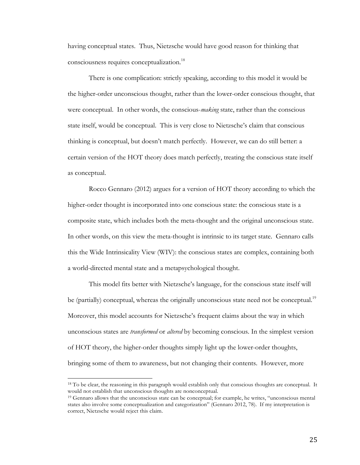having conceptual states. Thus, Nietzsche would have good reason for thinking that consciousness requires conceptualization.<sup>18</sup>

There is one complication: strictly speaking, according to this model it would be the higher-order unconscious thought, rather than the lower-order conscious thought, that were conceptual. In other words, the conscious-*making* state, rather than the conscious state itself, would be conceptual. This is very close to Nietzsche's claim that conscious thinking is conceptual, but doesn't match perfectly. However, we can do still better: a certain version of the HOT theory does match perfectly, treating the conscious state itself as conceptual.

Rocco Gennaro (2012) argues for a version of HOT theory according to which the higher-order thought is incorporated into one conscious state: the conscious state is a composite state, which includes both the meta-thought and the original unconscious state. In other words, on this view the meta-thought is intrinsic to its target state. Gennaro calls this the Wide Intrinsicality View (WIV): the conscious states are complex, containing both a world-directed mental state and a metapsychological thought.

This model fits better with Nietzsche's language, for the conscious state itself will be (partially) conceptual, whereas the originally unconscious state need not be conceptual.<sup>19</sup> Moreover, this model accounts for Nietzsche's frequent claims about the way in which unconscious states are *transformed* or *altered* by becoming conscious. In the simplest version of HOT theory, the higher-order thoughts simply light up the lower-order thoughts, bringing some of them to awareness, but not changing their contents. However, more

<sup>&</sup>lt;sup>18</sup> To be clear, the reasoning in this paragraph would establish only that conscious thoughts are conceptual. It would not establish that unconscious thoughts are nonconceptual.

<sup>19</sup> Gennaro allows that the unconscious state can be conceptual; for example, he writes, "unconscious mental states also involve some conceptualization and categorization" (Gennaro 2012, 78). If my interpretation is correct, Nietzsche would reject this claim.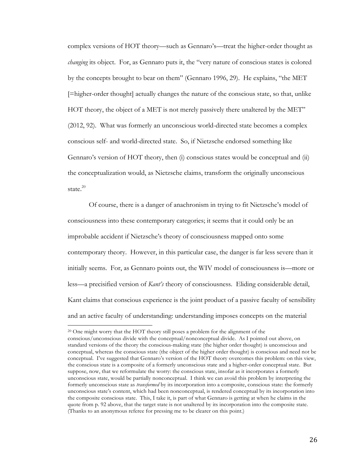complex versions of HOT theory—such as Gennaro's—treat the higher-order thought as *changing* its object. For, as Gennaro puts it, the "very nature of conscious states is colored by the concepts brought to bear on them" (Gennaro 1996, 29). He explains, "the MET [=higher-order thought] actually changes the nature of the conscious state, so that, unlike HOT theory, the object of a MET is not merely passively there unaltered by the MET" (2012, 92). What was formerly an unconscious world-directed state becomes a complex conscious self- and world-directed state. So, if Nietzsche endorsed something like Gennaro's version of HOT theory, then (i) conscious states would be conceptual and (ii) the conceptualization would, as Nietzsche claims, transform the originally unconscious state. $20$ 

Of course, there is a danger of anachronism in trying to fit Nietzsche's model of consciousness into these contemporary categories; it seems that it could only be an improbable accident if Nietzsche's theory of consciousness mapped onto some contemporary theory. However, in this particular case, the danger is far less severe than it initially seems. For, as Gennaro points out, the WIV model of consciousness is—more or less—a precisified version of *Kant's* theory of consciousness. Eliding considerable detail, Kant claims that conscious experience is the joint product of a passive faculty of sensibility and an active faculty of understanding: understanding imposes concepts on the material

<sup>&</sup>lt;sup>20</sup> One might worry that the HOT theory still poses a problem for the alignment of the conscious/unconscious divide with the conceptual/nonconceptual divide. As I pointed out above, on standard versions of the theory the conscious-making state (the higher order thought) is unconscious and conceptual, whereas the conscious state (the object of the higher order thought) is conscious and need not be conceptual. I've suggested that Gennaro's version of the HOT theory overcomes this problem: on this view, the conscious state is a composite of a formerly unconscious state and a higher-order conceptual state. But suppose, now, that we reformulate the worry: the conscious state, insofar as it incorporates a formerly unconscious state, would be partially nonconceptual. I think we can avoid this problem by interpreting the formerly unconscious state as *transformed* by its incorporation into a composite, conscious state: the formerly unconscious state's content, which had been nonconceptual, is rendered conceptual by its incorporation into the composite conscious state. This, I take it, is part of what Gennaro is getting at when he claims in the quote from p. 92 above, that the target state is not unaltered by its incorporation into the composite state. (Thanks to an anonymous referee for pressing me to be clearer on this point.)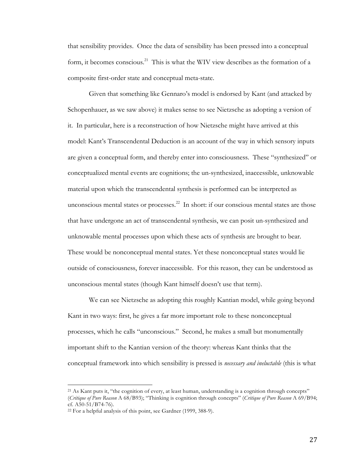that sensibility provides. Once the data of sensibility has been pressed into a conceptual form, it becomes conscious.<sup>21</sup> This is what the WIV view describes as the formation of a composite first-order state and conceptual meta-state.

Given that something like Gennaro's model is endorsed by Kant (and attacked by Schopenhauer, as we saw above) it makes sense to see Nietzsche as adopting a version of it. In particular, here is a reconstruction of how Nietzsche might have arrived at this model: Kant's Transcendental Deduction is an account of the way in which sensory inputs are given a conceptual form, and thereby enter into consciousness. These "synthesized" or conceptualized mental events are cognitions; the un-synthesized, inaccessible, unknowable material upon which the transcendental synthesis is performed can be interpreted as unconscious mental states or processes. $^{22}$  In short: if our conscious mental states are those that have undergone an act of transcendental synthesis, we can posit un-synthesized and unknowable mental processes upon which these acts of synthesis are brought to bear. These would be nonconceptual mental states. Yet these nonconceptual states would lie outside of consciousness, forever inaccessible. For this reason, they can be understood as unconscious mental states (though Kant himself doesn't use that term).

We can see Nietzsche as adopting this roughly Kantian model, while going beyond Kant in two ways: first, he gives a far more important role to these nonconceptual processes, which he calls "unconscious." Second, he makes a small but monumentally important shift to the Kantian version of the theory: whereas Kant thinks that the conceptual framework into which sensibility is pressed is *necessary and ineluctable* (this is what

<sup>&</sup>lt;sup>21</sup> As Kant puts it, "the cognition of every, at least human, understanding is a cognition through concepts" (*Critique of Pure Reason* A 68/B93); "Thinking is cognition through concepts" (*Critique of Pure Reason* A 69/B94; cf. A50-51/B74-76).

<sup>22</sup> For a helpful analysis of this point, see Gardner (1999, 388-9).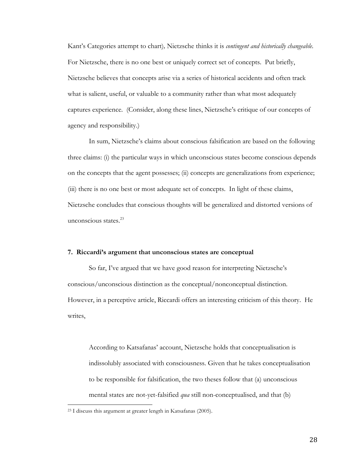Kant's Categories attempt to chart)*,* Nietzsche thinks it is *contingent and historically changeable.*  For Nietzsche, there is no one best or uniquely correct set of concepts. Put briefly, Nietzsche believes that concepts arise via a series of historical accidents and often track what is salient, useful, or valuable to a community rather than what most adequately captures experience. (Consider, along these lines, Nietzsche's critique of our concepts of agency and responsibility.)

In sum, Nietzsche's claims about conscious falsification are based on the following three claims: (i) the particular ways in which unconscious states become conscious depends on the concepts that the agent possesses; (ii) concepts are generalizations from experience; (iii) there is no one best or most adequate set of concepts. In light of these claims, Nietzsche concludes that conscious thoughts will be generalized and distorted versions of unconscious states. 23

## **7. Riccardi's argument that unconscious states are conceptual**

So far, I've argued that we have good reason for interpreting Nietzsche's conscious/unconscious distinction as the conceptual/nonconceptual distinction. However, in a perceptive article, Riccardi offers an interesting criticism of this theory. He writes,

According to Katsafanas' account, Nietzsche holds that conceptualisation is indissolubly associated with consciousness. Given that he takes conceptualisation to be responsible for falsification, the two theses follow that (a) unconscious mental states are not-yet-falsified *qua* still non-conceptualised, and that (b)

<sup>23</sup> I discuss this argument at greater length in Katsafanas (2005).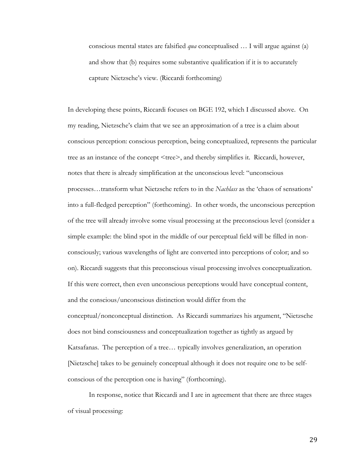conscious mental states are falsified *qua* conceptualised … I will argue against (a) and show that (b) requires some substantive qualification if it is to accurately capture Nietzsche's view. (Riccardi forthcoming)

In developing these points, Riccardi focuses on BGE 192, which I discussed above. On my reading, Nietzsche's claim that we see an approximation of a tree is a claim about conscious perception: conscious perception, being conceptualized, represents the particular tree as an instance of the concept <tree>, and thereby simplifies it. Riccardi, however, notes that there is already simplification at the unconscious level: "unconscious processes…transform what Nietzsche refers to in the *Nachlass* as the 'chaos of sensations' into a full-fledged perception" (forthcoming). In other words, the unconscious perception of the tree will already involve some visual processing at the preconscious level (consider a simple example: the blind spot in the middle of our perceptual field will be filled in nonconsciously; various wavelengths of light are converted into perceptions of color; and so on). Riccardi suggests that this preconscious visual processing involves conceptualization. If this were correct, then even unconscious perceptions would have conceptual content, and the conscious/unconscious distinction would differ from the conceptual/nonconceptual distinction. As Riccardi summarizes his argument, "Nietzsche does not bind consciousness and conceptualization together as tightly as argued by Katsafanas. The perception of a tree… typically involves generalization, an operation [Nietzsche] takes to be genuinely conceptual although it does not require one to be selfconscious of the perception one is having" (forthcoming).

In response, notice that Riccardi and I are in agreement that there are three stages of visual processing: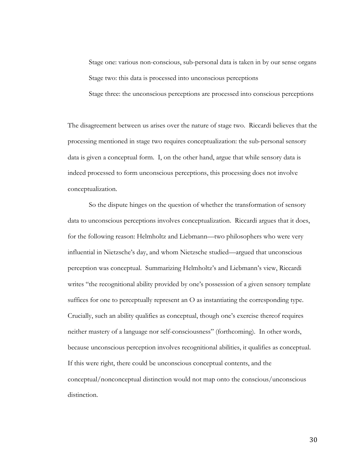Stage one: various non-conscious, sub-personal data is taken in by our sense organs Stage two: this data is processed into unconscious perceptions Stage three: the unconscious perceptions are processed into conscious perceptions

The disagreement between us arises over the nature of stage two. Riccardi believes that the processing mentioned in stage two requires conceptualization: the sub-personal sensory data is given a conceptual form. I, on the other hand, argue that while sensory data is indeed processed to form unconscious perceptions, this processing does not involve conceptualization.

So the dispute hinges on the question of whether the transformation of sensory data to unconscious perceptions involves conceptualization. Riccardi argues that it does, for the following reason: Helmholtz and Liebmann—two philosophers who were very influential in Nietzsche's day, and whom Nietzsche studied—argued that unconscious perception was conceptual. Summarizing Helmholtz's and Liebmann's view, Riccardi writes "the recognitional ability provided by one's possession of a given sensory template suffices for one to perceptually represent an O as instantiating the corresponding type. Crucially, such an ability qualifies as conceptual, though one's exercise thereof requires neither mastery of a language nor self-consciousness" (forthcoming). In other words, because unconscious perception involves recognitional abilities, it qualifies as conceptual. If this were right, there could be unconscious conceptual contents, and the conceptual/nonconceptual distinction would not map onto the conscious/unconscious distinction.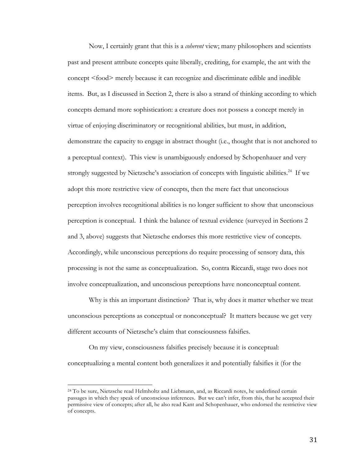Now, I certainly grant that this is a *coherent* view; many philosophers and scientists past and present attribute concepts quite liberally, crediting, for example, the ant with the concept <food> merely because it can recognize and discriminate edible and inedible items. But, as I discussed in Section 2, there is also a strand of thinking according to which concepts demand more sophistication: a creature does not possess a concept merely in virtue of enjoying discriminatory or recognitional abilities, but must, in addition, demonstrate the capacity to engage in abstract thought (i.e., thought that is not anchored to a perceptual context). This view is unambiguously endorsed by Schopenhauer and very strongly suggested by Nietzsche's association of concepts with linguistic abilities.<sup>24</sup> If we adopt this more restrictive view of concepts, then the mere fact that unconscious perception involves recognitional abilities is no longer sufficient to show that unconscious perception is conceptual. I think the balance of textual evidence (surveyed in Sections 2 and 3, above) suggests that Nietzsche endorses this more restrictive view of concepts. Accordingly, while unconscious perceptions do require processing of sensory data, this processing is not the same as conceptualization. So, contra Riccardi, stage two does not involve conceptualization, and unconscious perceptions have nonconceptual content.

Why is this an important distinction? That is, why does it matter whether we treat unconscious perceptions as conceptual or nonconceptual? It matters because we get very different accounts of Nietzsche's claim that consciousness falsifies.

On my view, consciousness falsifies precisely because it is conceptual: conceptualizing a mental content both generalizes it and potentially falsifies it (for the

<sup>24</sup> To be sure, Nietzsche read Helmholtz and Liebmann, and, as Riccardi notes, he underlined certain passages in which they speak of unconscious inferences. But we can't infer, from this, that he accepted their permissive view of concepts; after all, he also read Kant and Schopenhauer, who endorsed the restrictive view of concepts.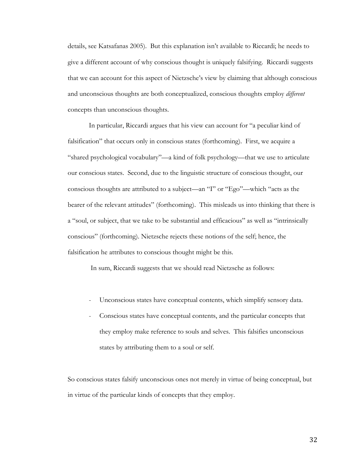details, see Katsafanas 2005). But this explanation isn't available to Riccardi; he needs to give a different account of why conscious thought is uniquely falsifying. Riccardi suggests that we can account for this aspect of Nietzsche's view by claiming that although conscious and unconscious thoughts are both conceptualized, conscious thoughts employ *different*  concepts than unconscious thoughts.

In particular, Riccardi argues that his view can account for "a peculiar kind of falsification" that occurs only in conscious states (forthcoming). First, we acquire a "shared psychological vocabulary"—a kind of folk psychology—that we use to articulate our conscious states. Second, due to the linguistic structure of conscious thought, our conscious thoughts are attributed to a subject—an "I" or "Ego"—which "acts as the bearer of the relevant attitudes" (forthcoming). This misleads us into thinking that there is a "soul, or subject, that we take to be substantial and efficacious" as well as "intrinsically conscious" (forthcoming). Nietzsche rejects these notions of the self; hence, the falsification he attributes to conscious thought might be this.

In sum, Riccardi suggests that we should read Nietzsche as follows:

- Unconscious states have conceptual contents, which simplify sensory data.
- Conscious states have conceptual contents, and the particular concepts that they employ make reference to souls and selves. This falsifies unconscious states by attributing them to a soul or self.

So conscious states falsify unconscious ones not merely in virtue of being conceptual, but in virtue of the particular kinds of concepts that they employ.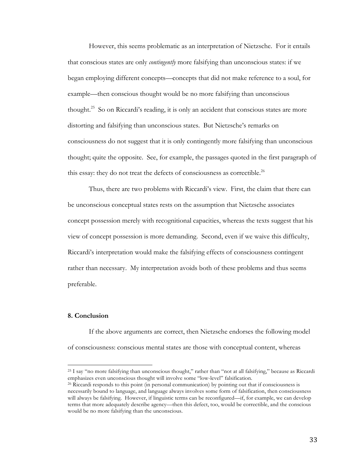However, this seems problematic as an interpretation of Nietzsche. For it entails that conscious states are only *contingently* more falsifying than unconscious states: if we began employing different concepts—concepts that did not make reference to a soul, for example—then conscious thought would be no more falsifying than unconscious thought.<sup>25</sup> So on Riccardi's reading, it is only an accident that conscious states are more distorting and falsifying than unconscious states. But Nietzsche's remarks on consciousness do not suggest that it is only contingently more falsifying than unconscious thought; quite the opposite. See, for example, the passages quoted in the first paragraph of this essay: they do not treat the defects of consciousness as correctible.<sup>26</sup>

Thus, there are two problems with Riccardi's view. First, the claim that there can be unconscious conceptual states rests on the assumption that Nietzsche associates concept possession merely with recognitional capacities, whereas the texts suggest that his view of concept possession is more demanding. Second, even if we waive this difficulty, Riccardi's interpretation would make the falsifying effects of consciousness contingent rather than necessary. My interpretation avoids both of these problems and thus seems preferable.

## **8. Conclusion**

 

If the above arguments are correct, then Nietzsche endorses the following model of consciousness: conscious mental states are those with conceptual content, whereas

<sup>&</sup>lt;sup>25</sup> I say "no more falsifying than unconscious thought," rather than "not at all falsifying," because as Riccardi emphasizes even unconscious thought will involve some "low-level" falsification.

 $26$  Riccardi responds to this point (in personal communication) by pointing out that if consciousness is necessarily bound to language, and language always involves some form of falsification, then consciousness will always be falsifying. However, if linguistic terms can be reconfigured—if, for example, we can develop terms that more adequately describe agency—then this defect, too, would be correctible, and the conscious would be no more falsifying than the unconscious.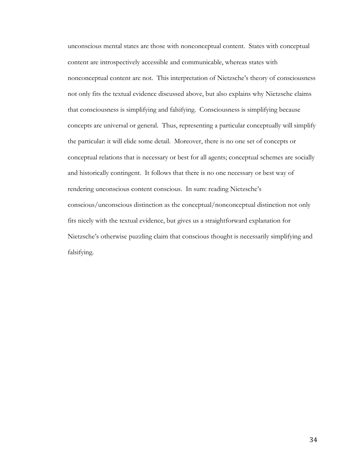unconscious mental states are those with nonconceptual content. States with conceptual content are introspectively accessible and communicable, whereas states with nonconceptual content are not. This interpretation of Nietzsche's theory of consciousness not only fits the textual evidence discussed above, but also explains why Nietzsche claims that consciousness is simplifying and falsifying. Consciousness is simplifying because concepts are universal or general. Thus, representing a particular conceptually will simplify the particular: it will elide some detail. Moreover, there is no one set of concepts or conceptual relations that is necessary or best for all agents; conceptual schemes are socially and historically contingent. It follows that there is no one necessary or best way of rendering unconscious content conscious. In sum: reading Nietzsche's conscious/unconscious distinction as the conceptual/nonconceptual distinction not only fits nicely with the textual evidence, but gives us a straightforward explanation for Nietzsche's otherwise puzzling claim that conscious thought is necessarily simplifying and falsifying.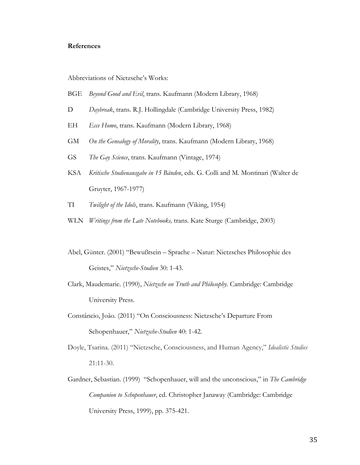# **References**

Abbreviations of Nietzsche's Works:

- BGE *Beyond Good and Evil*, trans. Kaufmann (Modern Library, 1968)
- D *Daybreak*, trans. R.J. Hollingdale (Cambridge University Press, 1982)
- EH *Ecce Homo*, trans. Kaufmann (Modern Library, 1968)
- GM *On the Genealogy of Morality*, trans. Kaufmann (Modern Library, 1968)
- GS *The Gay Science*, trans. Kaufmann (Vintage, 1974)
- KSA *Kritische Studienausgabe in 15 Bänden*, eds. G. Colli and M. Montinari (Walter de Gruyter, 1967-1977)
- TI *Twilight of the Idols*, trans. Kaufmann (Viking, 1954)
- WLN *Writings from the Late Notebooks,* trans. Kate Sturge (Cambridge, 2003)
- Abel, Günter. (2001) "Bewußtsein Sprache Natur: Nietzsches Philosophie des Geistes," *Nietzsche-Studien* 30: 1-43.
- Clark, Maudemarie. (1990), *Nietzsche on Truth and Philosophy.* Cambridge: Cambridge University Press.
- Constâncio, João. (2011) "On Consciousness: Nietzsche's Departure From Schopenhauer," *Nietzsche-Studien* 40: 1-42.
- Doyle, Tsarina. (2011) "Nietzsche, Consciousness, and Human Agency," *Idealistic Studies*  21:11-30.
- Gardner, Sebastian. (1999) "Schopenhauer, will and the unconscious," in *The Cambridge Companion to Schopenhauer*, ed. Christopher Janaway (Cambridge: Cambridge University Press, 1999), pp. 375-421.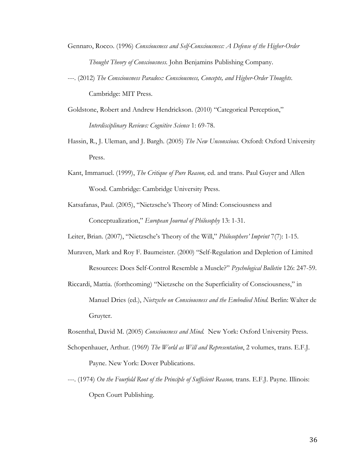- Gennaro, Rocco. (1996) *Consciousness and Self-Consciousness: A Defense of the Higher-Order Thought Theory of Consciousness.* John Benjamins Publishing Company.
- ---. (2012) *The Consciousness Paradox: Consciousness, Concepts, and Higher-Order Thoughts*. Cambridge: MIT Press.
- Goldstone, Robert and Andrew Hendrickson. (2010) "Categorical Perception," *Interdisciplinary Reviews: Cognitive Science* 1: 69-78.
- Hassin, R., J. Uleman, and J. Bargh. (2005) *The New Unconscious.* Oxford: Oxford University Press.
- Kant, Immanuel. (1999), *The Critique of Pure Reason,* ed. and trans. Paul Guyer and Allen Wood. Cambridge: Cambridge University Press.
- Katsafanas, Paul. (2005), "Nietzsche's Theory of Mind: Consciousness and Conceptualization," *European Journal of Philosophy* 13: 1-31.

Leiter, Brian. (2007), "Nietzsche's Theory of the Will," *Philosophers' Imprint* 7(7): 1-15.

- Muraven, Mark and Roy F. Baumeister. (2000) "Self-Regulation and Depletion of Limited Resources: Does Self-Control Resemble a Muscle?" *Psychological Bulletin* 126: 247-59.
- Riccardi, Mattia. (forthcoming) "Nietzsche on the Superficiality of Consciousness," in Manuel Dries (ed.), *Nietzsche on Consciousness and the Embodied Mind.* Berlin: Walter de Gruyter.

Rosenthal, David M. (2005) *Consciousness and Mind.* New York: Oxford University Press.

- Schopenhauer, Arthur*.* (1969) *The World as Will and Representation*, 2 volumes, trans. E.F.J. Payne. New York: Dover Publications.
- ---. (1974) *On the Fourfold Root of the Principle of Sufficient Reason,* trans. E.F.J. Payne. Illinois: Open Court Publishing.